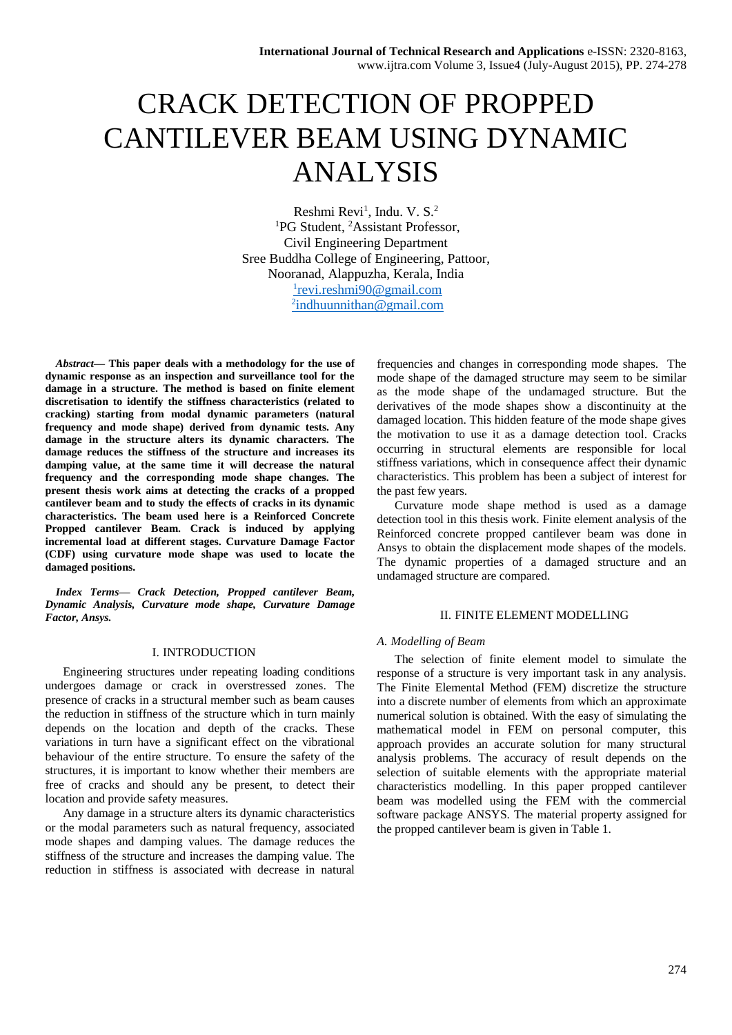# CRACK DETECTION OF PROPPED CANTILEVER BEAM USING DYNAMIC ANALYSIS

Reshmi Revi<sup>1</sup>, Indu. V. S.<sup>2</sup> <sup>1</sup>PG Student, <sup>2</sup>Assistant Professor, Civil Engineering Department Sree Buddha College of Engineering, Pattoor, Nooranad, Alappuzha, Kerala, India 1 [revi.reshmi90@gmail.com](mailto:1revi.reshmi90@gmail.com) <sup>2</sup>[indhuunnithan@gmail.com](mailto:2indhuunnithan@gmail.com)

*Abstract***— This paper deals with a methodology for the use of dynamic response as an inspection and surveillance tool for the damage in a structure. The method is based on finite element discretisation to identify the stiffness characteristics (related to cracking) starting from modal dynamic parameters (natural frequency and mode shape) derived from dynamic tests. Any damage in the structure alters its dynamic characters. The damage reduces the stiffness of the structure and increases its damping value, at the same time it will decrease the natural frequency and the corresponding mode shape changes. The present thesis work aims at detecting the cracks of a propped cantilever beam and to study the effects of cracks in its dynamic characteristics. The beam used here is a Reinforced Concrete Propped cantilever Beam. Crack is induced by applying incremental load at different stages. Curvature Damage Factor (CDF) using curvature mode shape was used to locate the damaged positions.**

*Index Terms***—** *Crack Detection, Propped cantilever Beam, Dynamic Analysis, Curvature mode shape, Curvature Damage Factor, Ansys.* 

## I. INTRODUCTION

Engineering structures under repeating loading conditions undergoes damage or crack in overstressed zones. The presence of cracks in a structural member such as beam causes the reduction in stiffness of the structure which in turn mainly depends on the location and depth of the cracks. These variations in turn have a significant effect on the vibrational behaviour of the entire structure. To ensure the safety of the structures, it is important to know whether their members are free of cracks and should any be present, to detect their location and provide safety measures.

Any damage in a structure alters its dynamic characteristics or the modal parameters such as natural frequency, associated mode shapes and damping values. The damage reduces the stiffness of the structure and increases the damping value. The reduction in stiffness is associated with decrease in natural

frequencies and changes in corresponding mode shapes. The mode shape of the damaged structure may seem to be similar as the mode shape of the undamaged structure. But the derivatives of the mode shapes show a discontinuity at the damaged location. This hidden feature of the mode shape gives the motivation to use it as a damage detection tool. Cracks occurring in structural elements are responsible for local stiffness variations, which in consequence affect their dynamic characteristics. This problem has been a subject of interest for the past few years.

Curvature mode shape method is used as a damage detection tool in this thesis work. Finite element analysis of the Reinforced concrete propped cantilever beam was done in Ansys to obtain the displacement mode shapes of the models. The dynamic properties of a damaged structure and an undamaged structure are compared.

## II. FINITE ELEMENT MODELLING

#### *A. Modelling of Beam*

The selection of finite element model to simulate the response of a structure is very important task in any analysis. The Finite Elemental Method (FEM) discretize the structure into a discrete number of elements from which an approximate numerical solution is obtained. With the easy of simulating the mathematical model in FEM on personal computer, this approach provides an accurate solution for many structural analysis problems. The accuracy of result depends on the selection of suitable elements with the appropriate material characteristics modelling. In this paper propped cantilever beam was modelled using the FEM with the commercial software package ANSYS. The material property assigned for the propped cantilever beam is given in Table 1.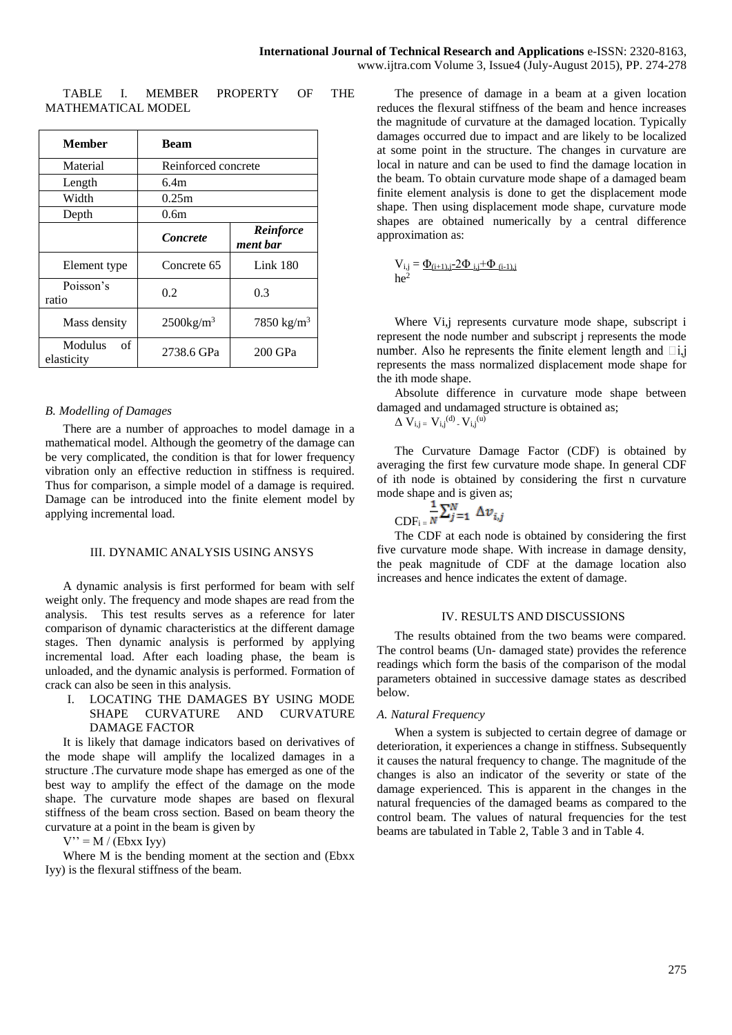TABLE I. MEMBER PROPERTY OF THE MATHEMATICAL MODEL

| Member                      | <b>Beam</b>              |                        |  |
|-----------------------------|--------------------------|------------------------|--|
| Material                    | Reinforced concrete      |                        |  |
| Length                      | 6.4m                     |                        |  |
| Width                       | 0.25m                    |                        |  |
| Depth                       | 0.6 <sub>m</sub>         |                        |  |
|                             | <i>Concrete</i>          | Reinforce<br>ment bar  |  |
| Element type                | Concrete 65              | Link $180$             |  |
| Poisson's<br>ratio          | 0.2                      | 0.3                    |  |
| Mass density                | $2500$ kg/m <sup>3</sup> | 7850 kg/m <sup>3</sup> |  |
| Modulus<br>of<br>elasticity | 2738.6 GPa               | 200 GPa                |  |

## *B. Modelling of Damages*

There are a number of approaches to model damage in a mathematical model. Although the geometry of the damage can be very complicated, the condition is that for lower frequency vibration only an effective reduction in stiffness is required. Thus for comparison, a simple model of a damage is required. Damage can be introduced into the finite element model by applying incremental load.

## III. DYNAMIC ANALYSIS USING ANSYS

A dynamic analysis is first performed for beam with self weight only. The frequency and mode shapes are read from the analysis. This test results serves as a reference for later comparison of dynamic characteristics at the different damage stages. Then dynamic analysis is performed by applying incremental load. After each loading phase, the beam is unloaded, and the dynamic analysis is performed. Formation of crack can also be seen in this analysis.

I. LOCATING THE DAMAGES BY USING MODE SHAPE CURVATURE AND CURVATURE DAMAGE FACTOR

It is likely that damage indicators based on derivatives of the mode shape will amplify the localized damages in a structure .The curvature mode shape has emerged as one of the best way to amplify the effect of the damage on the mode shape. The curvature mode shapes are based on flexural stiffness of the beam cross section. Based on beam theory the curvature at a point in the beam is given by

 $V'' = M / (Ebxx Ivv)$ 

Where M is the bending moment at the section and (Ebxx) Iyy) is the flexural stiffness of the beam.

The presence of damage in a beam at a given location reduces the flexural stiffness of the beam and hence increases the magnitude of curvature at the damaged location. Typically damages occurred due to impact and are likely to be localized at some point in the structure. The changes in curvature are local in nature and can be used to find the damage location in the beam. To obtain curvature mode shape of a damaged beam finite element analysis is done to get the displacement mode shape. Then using displacement mode shape, curvature mode shapes are obtained numerically by a central difference approximation as:

$$
V_{i,j}=\underline{\Phi_{(i+1),j-}2\Phi_{i,j}+\Phi_{(i-1),j}}{he^2}
$$

Where Vi,j represents curvature mode shape, subscript i represent the node number and subscript j represents the mode number. Also he represents the finite element length and  $\Box i, j$ represents the mass normalized displacement mode shape for the ith mode shape.

Absolute difference in curvature mode shape between damaged and undamaged structure is obtained as;

 $\Delta V_{i,j} = V_{i,j}^{(d)} - V_{i,j}^{(u)}$ 

The Curvature Damage Factor (CDF) is obtained by averaging the first few curvature mode shape. In general CDF of ith node is obtained by considering the first n curvature mode shape and is given as;

$$
CDF_{i} = \frac{1}{N} \sum_{j=1}^{N} \Delta v_{i,j}
$$

The CDF at each node is obtained by considering the first five curvature mode shape. With increase in damage density, the peak magnitude of CDF at the damage location also increases and hence indicates the extent of damage.

### IV. RESULTS AND DISCUSSIONS

The results obtained from the two beams were compared. The control beams (Un- damaged state) provides the reference readings which form the basis of the comparison of the modal parameters obtained in successive damage states as described below.

#### *A. Natural Frequency*

When a system is subjected to certain degree of damage or deterioration, it experiences a change in stiffness. Subsequently it causes the natural frequency to change. The magnitude of the changes is also an indicator of the severity or state of the damage experienced. This is apparent in the changes in the natural frequencies of the damaged beams as compared to the control beam. The values of natural frequencies for the test beams are tabulated in Table 2, Table 3 and in Table 4.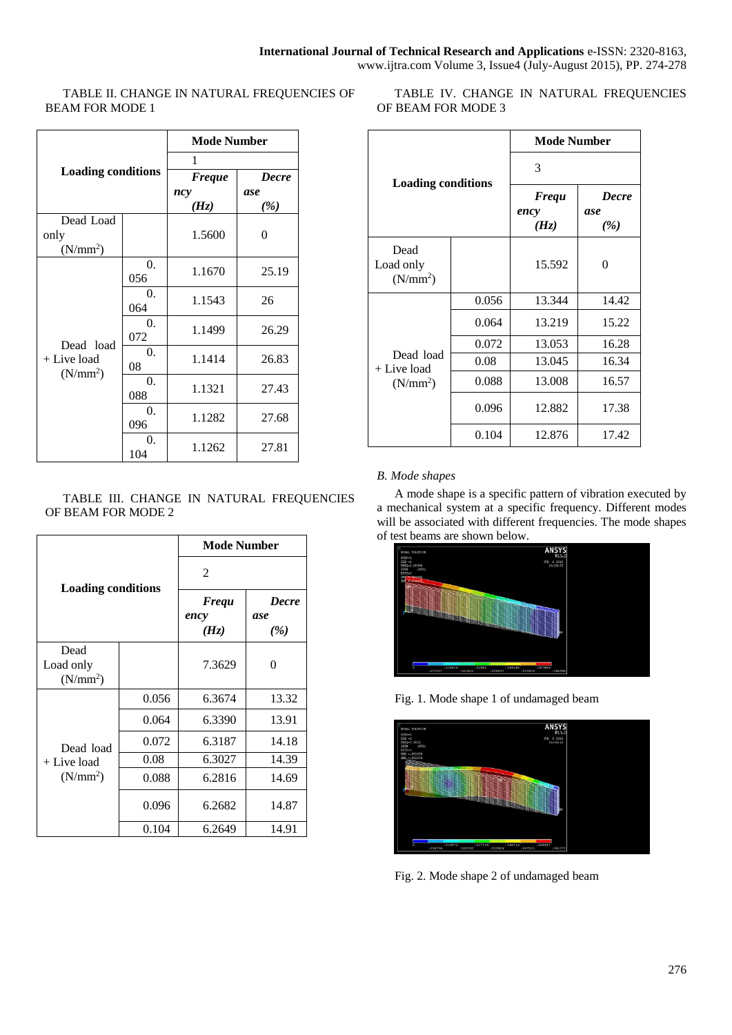TABLE II. CHANGE IN NATURAL FREQUENCIES OF BEAM FOR MODE 1

| <b>Loading conditions</b>                        |            | <b>Mode Number</b> |              |
|--------------------------------------------------|------------|--------------------|--------------|
|                                                  |            | 1                  |              |
|                                                  |            | <b>Freque</b>      | <b>Decre</b> |
|                                                  |            | ncy                | ase          |
|                                                  |            | (Hz)               | (%)          |
| Dead Load                                        |            |                    |              |
| only                                             |            | 1.5600             | 0            |
| (N/mm <sup>2</sup> )                             |            |                    |              |
| Dead load<br>+ Live load<br>(N/mm <sup>2</sup> ) | $\theta$ . | 1.1670             | 25.19        |
|                                                  | 056        |                    |              |
|                                                  | $\Omega$ . | 1.1543             | 26           |
|                                                  | 064        |                    |              |
|                                                  | 0.         | 1.1499             | 26.29        |
|                                                  | 072        |                    |              |
|                                                  | 0.         | 1.1414             | 26.83        |
|                                                  | 08         |                    |              |
|                                                  | 0.         | 1.1321             | 27.43        |
|                                                  | 088        |                    |              |
|                                                  | 0.         | 1.1282             | 27.68        |
|                                                  | 096        |                    |              |
|                                                  | 0.         | 1.1262             | 27.81        |
|                                                  | 104        |                    |              |

## TABLE III. CHANGE IN NATURAL FREQUENCIES OF BEAM FOR MODE 2

| <b>Loading conditions</b>                          |       | <b>Mode Number</b>           |                            |
|----------------------------------------------------|-------|------------------------------|----------------------------|
|                                                    |       | 2                            |                            |
|                                                    |       | <b>Frequ</b><br>ency<br>(Hz) | <b>Decre</b><br>ase<br>(%) |
| Dead<br>Load only<br>(N/mm <sup>2</sup> )          |       | 7.3629                       | 0                          |
| Dead load<br>$+$ Live load<br>(N/mm <sup>2</sup> ) | 0.056 | 6.3674                       | 13.32                      |
|                                                    | 0.064 | 6.3390                       | 13.91                      |
|                                                    | 0.072 | 6.3187                       | 14.18                      |
|                                                    | 0.08  | 6.3027                       | 14.39                      |
|                                                    | 0.088 | 6.2816                       | 14.69                      |
|                                                    | 0.096 | 6.2682                       | 14.87                      |
|                                                    | 0.104 | 6.2649                       | 14.91                      |

TABLE IV. CHANGE IN NATURAL FREQUENCIES OF BEAM FOR MODE 3

| <b>Loading conditions</b>                        |       | <b>Mode Number</b>           |                            |
|--------------------------------------------------|-------|------------------------------|----------------------------|
|                                                  |       | 3                            |                            |
|                                                  |       | <b>Frequ</b><br>ency<br>(Hz) | <b>Decre</b><br>ase<br>(%) |
| Dead<br>Load only<br>(N/mm <sup>2</sup> )        |       | 15.592                       | 0                          |
| Dead load<br>+ Live load<br>(N/mm <sup>2</sup> ) | 0.056 | 13.344                       | 14.42                      |
|                                                  | 0.064 | 13.219                       | 15.22                      |
|                                                  | 0.072 | 13.053                       | 16.28                      |
|                                                  | 0.08  | 13.045                       | 16.34                      |
|                                                  | 0.088 | 13.008                       | 16.57                      |
|                                                  | 0.096 | 12.882                       | 17.38                      |
|                                                  | 0.104 | 12.876                       | 17.42                      |

# *B. Mode shapes*

A mode shape is a specific pattern of vibration executed by a mechanical system at a specific frequency. Different modes will be associated with different frequencies. The mode shapes of test beams are shown below.



Fig. 1. Mode shape 1 of undamaged beam



Fig. 2. Mode shape 2 of undamaged beam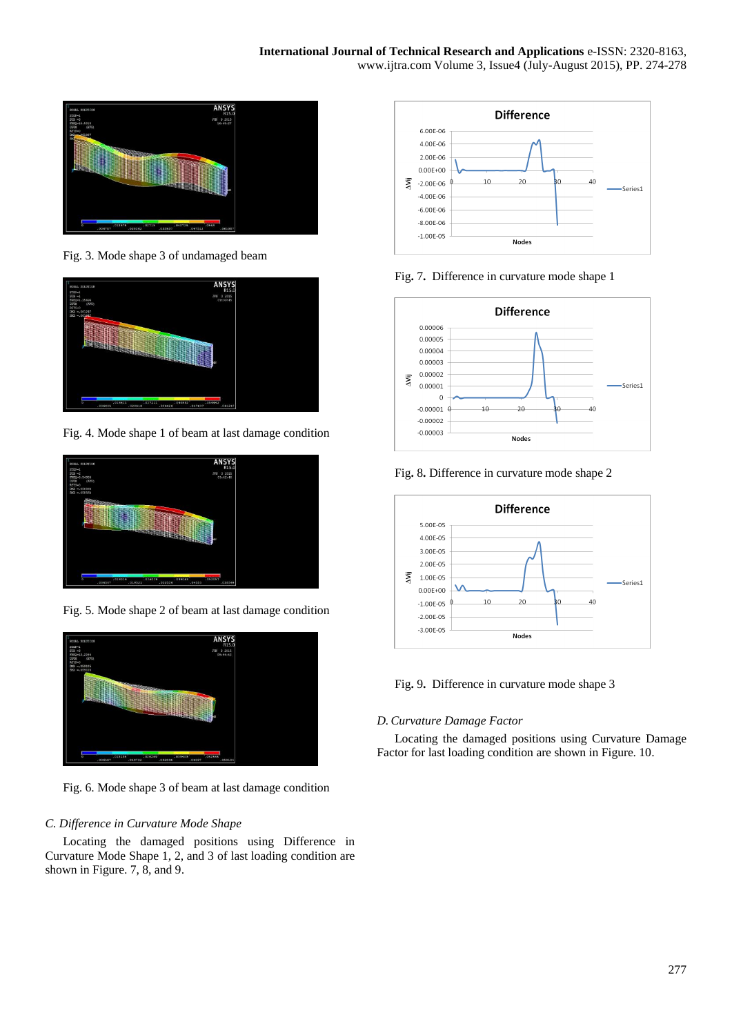

Fig. 3. Mode shape 3 of undamaged beam



Fig. 4. Mode shape 1 of beam at last damage condition



Fig. 5. Mode shape 2 of beam at last damage condition



Fig. 6. Mode shape 3 of beam at last damage condition

# *C. Difference in Curvature Mode Shape*

Locating the damaged positions using Difference in Curvature Mode Shape 1, 2, and 3 of last loading condition are shown in Figure. 7, 8, and 9.



Fig**.** 7**.** Difference in curvature mode shape 1



Fig**.** 8**.** Difference in curvature mode shape 2



Fig**.** 9**.** Difference in curvature mode shape 3

## *D. Curvature Damage Factor*

Locating the damaged positions using Curvature Damage Factor for last loading condition are shown in Figure. 10.